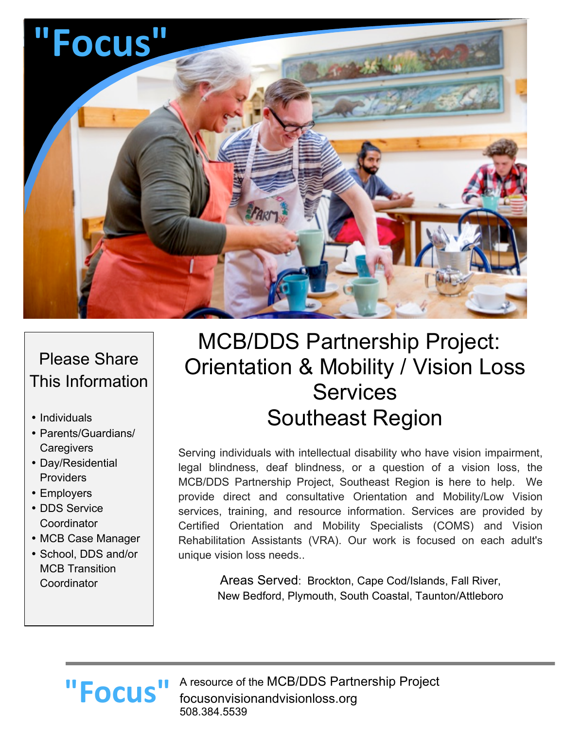

## Please Share This Information

- Individuals
- Parents/Guardians/ **Caregivers**
- Day/Residential **Providers**
- Employers
- DDS Service **Coordinator**
- MCB Case Manager
- School, DDS and/or MCB Transition **Coordinator**

# MCB/DDS Partnership Project: Orientation & Mobility / Vision Loss Services Southeast Region

Serving individuals with intellectual disability who have vision impairment, legal blindness, deaf blindness, or a question of a vision loss, the MCB/DDS Partnership Project, Southeast Region is here to help. We provide direct and consultative Orientation and Mobility/Low Vision services, training, and resource information. Services are provided by Certified Orientation and Mobility Specialists (COMS) and Vision Rehabilitation Assistants (VRA). Our work is focused on each adult's unique vision loss needs..

> Areas Served: Brockton, Cape Cod/Islands, Fall River, New Bedford, Plymouth, South Coastal, Taunton/Attleboro

# **"Focus"**

A resource of the MCB/DDS Partnership Project focusonvisionandvisionloss.org 508.384.5539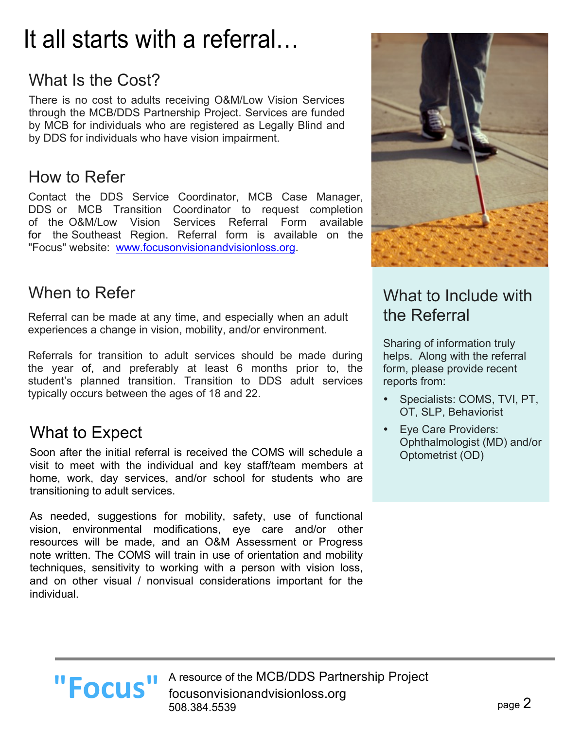# It all starts with a referral…

# What Is the Cost?

There is no cost to adults receiving O&M/Low Vision Services through the MCB/DDS Partnership Project. Services are funded by MCB for individuals who are registered as Legally Blind and by DDS for individuals who have vision impairment.

#### How to Refer

Contact the DDS Service Coordinator, MCB Case Manager, DDS or MCB Transition Coordinator to request completion of the O&M/Low Vision Services Referral Form available for the Southeast Region. Referral form is available on the "Focus" website: www.focusonvisionandvisionloss.org.

#### When to Refer

Referral can be made at any time, and especially when an adult experiences a change in vision, mobility, and/or environment.

Referrals for transition to adult services should be made during the year of, and preferably at least 6 months prior to, the student's planned transition. Transition to DDS adult services typically occurs between the ages of 18 and 22.

#### What to Expect

Soon after the initial referral is received the COMS will schedule a visit to meet with the individual and key staff/team members at home, work, day services, and/or school for students who are transitioning to adult services.

As needed, suggestions for mobility, safety, use of functional vision, environmental modifications, eye care and/or other resources will be made, and an O&M Assessment or Progress note written. The COMS will train in use of orientation and mobility techniques, sensitivity to working with a person with vision loss, and on other visual / nonvisual considerations important for the individual.



#### What to Include with the Referral

Sharing of information truly helps. Along with the referral form, please provide recent reports from:

- Specialists: COMS, TVI, PT, OT, SLP, Behaviorist
- Eye Care Providers: Ophthalmologist (MD) and/or Optometrist (OD)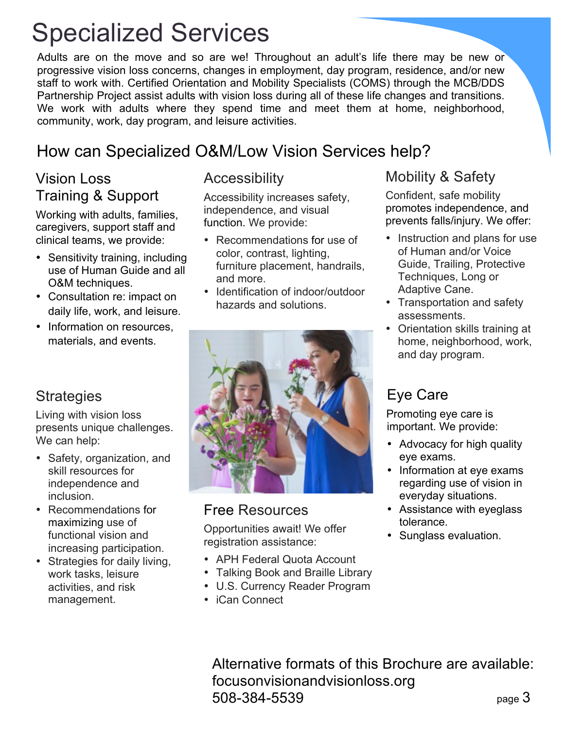# Specialized Services

Adults are on the move and so are we! Throughout an adult's life there may be new or progressive vision loss concerns, changes in employment, day program, residence, and/or new staff to work with. Certified Orientation and Mobility Specialists (COMS) through the MCB/DDS Partnership Project assist adults with vision loss during all of these life changes and transitions. We work with adults where they spend time and meet them at home, neighborhood, community, work, day program, and leisure activities.

### How can Specialized O&M/Low Vision Services help?

#### Vision Loss Training & Support

Working with adults, families, caregivers, support staff and clinical teams, we provide:

- Sensitivity training, including use of Human Guide and all O&M techniques.
- Consultation re: impact on daily life, work, and leisure.
- Information on resources. materials, and events.

#### **Strategies**

Living with vision loss presents unique challenges. We can help:

- Safety, organization, and skill resources for independence and inclusion.
- Recommendations for maximizing use of functional vision and increasing participation.
- Strategies for daily living, work tasks, leisure activities, and risk management.

#### Accessibility

Accessibility increases safety, independence, and visual function. We provide:

- Recommendations for use of color, contrast, lighting, furniture placement, handrails, and more.
- Identification of indoor/outdoor hazards and solutions.



#### Free Resources

Opportunities await! We offer registration assistance:

- APH Federal Quota Account
- Talking Book and Braille Library
- U.S. Currency Reader Program
- iCan Connect

#### Mobility & Safety

Confident, safe mobility promotes independence, and prevents falls/injury. We offer:

- Instruction and plans for use of Human and/or Voice Guide, Trailing, Protective Techniques, Long or Adaptive Cane.
- Transportation and safety assessments.
- Orientation skills training at home, neighborhood, work, and day program.

#### Eye Care

Promoting eye care is important. We provide:

- Advocacy for high quality eye exams.
- Information at eye exams regarding use of vision in everyday situations.
- Assistance with eyeglass tolerance.
- Sunglass evaluation.

page 3 Alternative formats of this Brochure are available: focusonvisionandvisionloss.org 508-384-5539